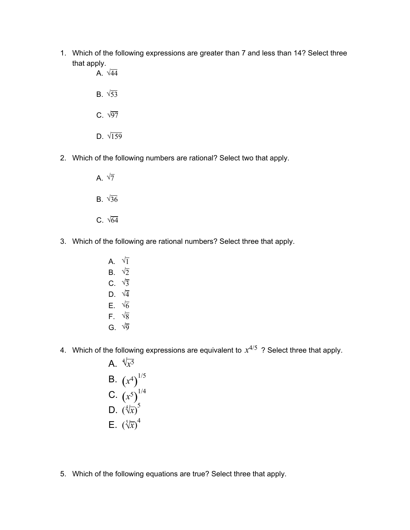- 1. Which of the following expressions are greater than 7 and less than 14? Select three that apply.
	- A.  $\sqrt{44}$ B.  $\sqrt{53}$ C.  $\sqrt{97}$ D.  $\sqrt{159}$
- 2. Which of the following numbers are rational? Select two that apply.
	- A.  $\sqrt{7}$ B.  $\sqrt{36}$ C.  $\sqrt{64}$
- 3. Which of the following are rational numbers? Select three that apply.
	- A.  $\sqrt{1}$ B.  $\sqrt{2}$ C.  $\sqrt{3}$ D.  $\sqrt{4}$ E.  $\sqrt{6}$ F.  $\sqrt{8}$ G.  $\sqrt{9}$
- 4. Which of the following expressions are equivalent to  $x^{4/5}$  ? Select three that apply.
	- A.  $\sqrt[4]{x^5}$ B.  $(x^4)^{1/5}$ C.  $(x^5)^{1/4}$ D.  $(\sqrt[4]{x})^5$ E.  $\left(\sqrt[5]{x}\right)^4$
- 5. Which of the following equations are true? Select three that apply.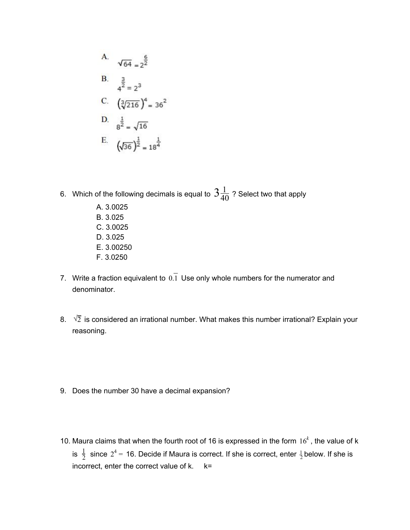A. 
$$
\sqrt{64} = 2^{\frac{6}{2}}
$$
  
\nB.  $\frac{3}{4^{\frac{3}{2}}} = 2^3$   
\nC.  $(\sqrt[3]{216})^4 = 36^2$   
\nD.  $\frac{1}{8^{\frac{1}{2}}} = \sqrt{16}$   
\nE.  $(\sqrt{36})^{\frac{1}{2}} = 18^{\frac{1}{4}}$ 

- 6. Which of the following decimals is equal to  $\textstyle{\frac{3\frac{1}{40}}}$  ? Select two that apply 40
	- A. 3.0025 B. 3.025 C. 3.0025 D. 3.025 E. 3.00250 F. 3.0250
- 7. Write a fraction equivalent to  $0.\overline{1}$  Use only whole numbers for the numerator and denominator.
- 8.  $\sqrt{2}$  is considered an irrational number. What makes this number irrational? Explain your reasoning.
- 9. Does the number 30 have a decimal expansion?
- 10. Maura claims that when the fourth root of 16 is expressed in the form  $16^k$ , the value of k is  $\frac{1}{2}$  since  $2^4$  = 16. Decide if Maura is correct. If she is correct, enter  $\frac{1}{2}$  below. If she is incorrect, enter the correct value of  $k$ .  $k=$